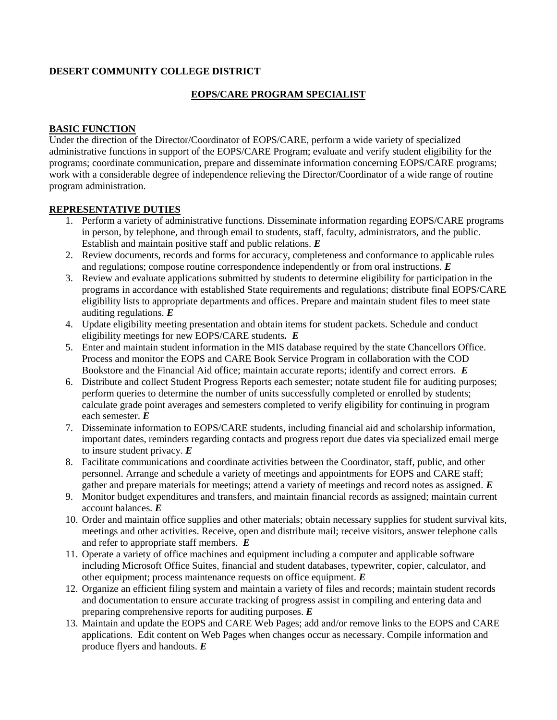### **DESERT COMMUNITY COLLEGE DISTRICT**

# **EOPS/CARE PROGRAM SPECIALIST**

### **BASIC FUNCTION**

Under the direction of the Director/Coordinator of EOPS/CARE, perform a wide variety of specialized administrative functions in support of the EOPS/CARE Program; evaluate and verify student eligibility for the programs; coordinate communication, prepare and disseminate information concerning EOPS/CARE programs; work with a considerable degree of independence relieving the Director/Coordinator of a wide range of routine program administration.

## **REPRESENTATIVE DUTIES**

- 1. Perform a variety of administrative functions. Disseminate information regarding EOPS/CARE programs in person, by telephone, and through email to students, staff, faculty, administrators, and the public. Establish and maintain positive staff and public relations. *E*
- 2. Review documents, records and forms for accuracy, completeness and conformance to applicable rules and regulations; compose routine correspondence independently or from oral instructions. *E*
- 3. Review and evaluate applications submitted by students to determine eligibility for participation in the programs in accordance with established State requirements and regulations; distribute final EOPS/CARE eligibility lists to appropriate departments and offices. Prepare and maintain student files to meet state auditing regulations. *E*
- 4. Update eligibility meeting presentation and obtain items for student packets. Schedule and conduct eligibility meetings for new EOPS/CARE students*. E*
- 5. Enter and maintain student information in the MIS database required by the state Chancellors Office. Process and monitor the EOPS and CARE Book Service Program in collaboration with the COD Bookstore and the Financial Aid office; maintain accurate reports; identify and correct errors. *E*
- 6. Distribute and collect Student Progress Reports each semester; notate student file for auditing purposes; perform queries to determine the number of units successfully completed or enrolled by students; calculate grade point averages and semesters completed to verify eligibility for continuing in program each semester. *E*
- 7. Disseminate information to EOPS/CARE students, including financial aid and scholarship information, important dates, reminders regarding contacts and progress report due dates via specialized email merge to insure student privacy. *E*
- 8. Facilitate communications and coordinate activities between the Coordinator, staff, public, and other personnel. Arrange and schedule a variety of meetings and appointments for EOPS and CARE staff; gather and prepare materials for meetings; attend a variety of meetings and record notes as assigned. *E*
- 9. Monitor budget expenditures and transfers, and maintain financial records as assigned; maintain current account balances. *E*
- 10. Order and maintain office supplies and other materials; obtain necessary supplies for student survival kits, meetings and other activities. Receive, open and distribute mail; receive visitors, answer telephone calls and refer to appropriate staff members. *E*
- 11. Operate a variety of office machines and equipment including a computer and applicable software including Microsoft Office Suites, financial and student databases, typewriter, copier, calculator, and other equipment; process maintenance requests on office equipment. *E*
- 12. Organize an efficient filing system and maintain a variety of files and records; maintain student records and documentation to ensure accurate tracking of progress assist in compiling and entering data and preparing comprehensive reports for auditing purposes. *E*
- 13. Maintain and update the EOPS and CARE Web Pages; add and/or remove links to the EOPS and CARE applications. Edit content on Web Pages when changes occur as necessary. Compile information and produce flyers and handouts. *E*